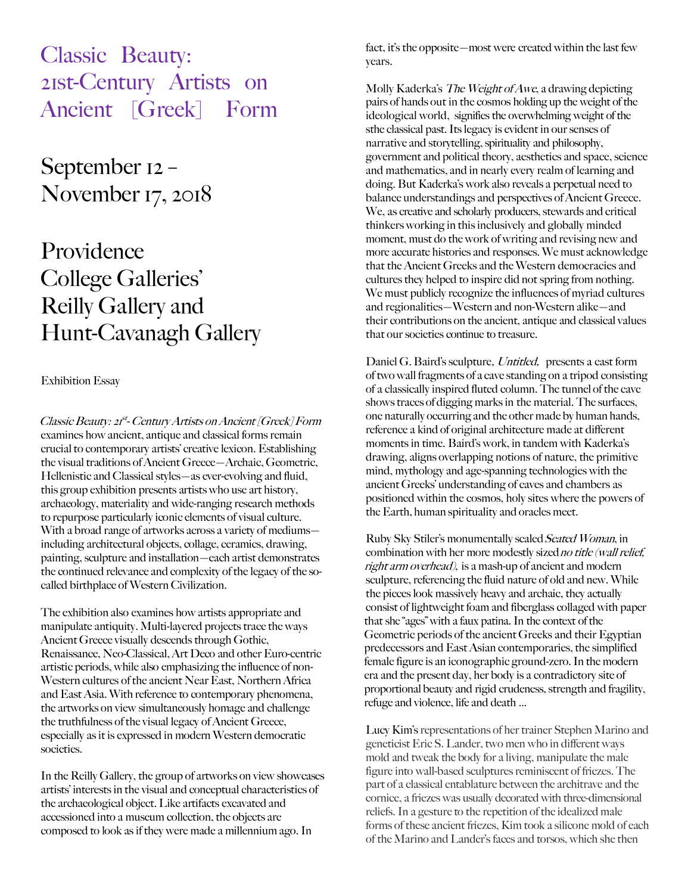Classic Beauty: 21st-Century Artists on Ancient [Greek] Form

September 12 – November 17, 2018

## Providence College Galleries' Reilly Gallery and Hunt-Cavanagh Gallery

## Exhibition Essay

Classic Beauty: 21<sup>st</sup>- Century Artists on Ancient [Greek] Form examines how ancient, antique and classical forms remain crucial to contemporary artists' creative lexicon. Establishing the visual traditions of Ancient Greece—Archaic, Geometric, Hellenistic and Classical styles—as ever-evolving and fluid, this group exhibition presents artists who use art history, archaeology, materiality and wide-ranging research methods to repurpose particularly iconic elements of visual culture. With a broad range of artworks across a variety of mediums including architectural objects, collage, ceramics, drawing, painting, sculpture and installation—each artist demonstrates the continued relevance and complexity of the legacy of the socalled birthplace of Western Civilization.

The exhibition also examines how artists appropriate and manipulate antiquity. Multi-layered projects trace the ways Ancient Greece visually descends through Gothic, Renaissance, Neo-Classical, Art Deco and other Euro-centric artistic periods, while also emphasizing the influence of non-Western cultures of the ancient Near East, Northern Africa and East Asia. With reference to contemporary phenomena, the artworks on view simultaneously homage and challenge the truthfulness of the visual legacy of Ancient Greece, especially as it is expressed in modern Western democratic societies.

In the Reilly Gallery, the group of artworks on view showcases artists' interests in the visual and conceptual characteristics of the archaeological object. Like artifacts excavated and accessioned into a museum collection, the objects are composed to look as if they were made a millennium ago. In

fact, it's the opposite—most were created within the last few years.

Molly Kaderka's The Weight of Awe, a drawing depicting pairs of hands out in the cosmos holding up the weight of the ideological world, signifies the overwhelming weight of the sthe classical past. Its legacy is evident in our senses of narrative and storytelling, spirituality and philosophy, government and political theory, aesthetics and space, science and mathematics, and in nearly every realm of learning and doing. But Kaderka's work also reveals a perpetual need to balance understandings and perspectives of Ancient Greece. We, as creative and scholarly producers, stewards and critical thinkers working in this inclusively and globally minded moment, must do the work of writing and revising new and more accurate histories and responses. We must acknowledge that the Ancient Greeks and the Western democracies and cultures they helped to inspire did not spring from nothing. We must publicly recognize the influences of myriad cultures and regionalities—Western and non-Western alike—and their contributions on the ancient, antique and classical values that our societies continue to treasure.

Daniel G. Baird's sculpture, Untitled, presents a cast form of two wall fragments of a cave standing on a tripod consisting of a classically inspired fluted column. The tunnel of the cave shows traces of digging marks in the material. The surfaces, one naturally occurring and the other made by human hands, reference a kind of original architecture made at different moments in time. Baird's work, in tandem with Kaderka's drawing, aligns overlapping notions of nature, the primitive mind, mythology and age-spanning technologies with the ancient Greeks' understanding of caves and chambers as positioned within the cosmos, holy sites where the powers of the Earth, human spirituality and oracles meet.

Ruby Sky Stiler's monumentally scaled Seated Woman, in combination with her more modestly sized no title (wall relief, right arm overhead), is a mash-up of ancient and modern sculpture, referencing the fluid nature of old and new. While the pieces look massively heavy and archaic, they actually consist of lightweight foam and fiberglass collaged with paper that she "ages" with a faux patina. In the context of the Geometric periods of the ancient Greeks and their Egyptian predecessors and East Asian contemporaries, the simplified female figure is an iconographic ground-zero. In the modern era and the present day, her body is a contradictory site of proportional beauty and rigid crudeness, strength and fragility, refuge and violence, life and death …

Lucy Kim's representations of her trainer Stephen Marino and geneticist Eric S. Lander, two men who in different ways mold and tweak the body for a living, manipulate the male figure into wall-based sculptures reminiscent of friezes. The part of a classical entablature between the architrave and the cornice, a friezes was usually decorated with three-dimensional reliefs. In a gesture to the repetition of the idealized male forms of these ancient friezes, Kim took a silicone mold of each of the Marino and Lander's faces and torsos, which she then